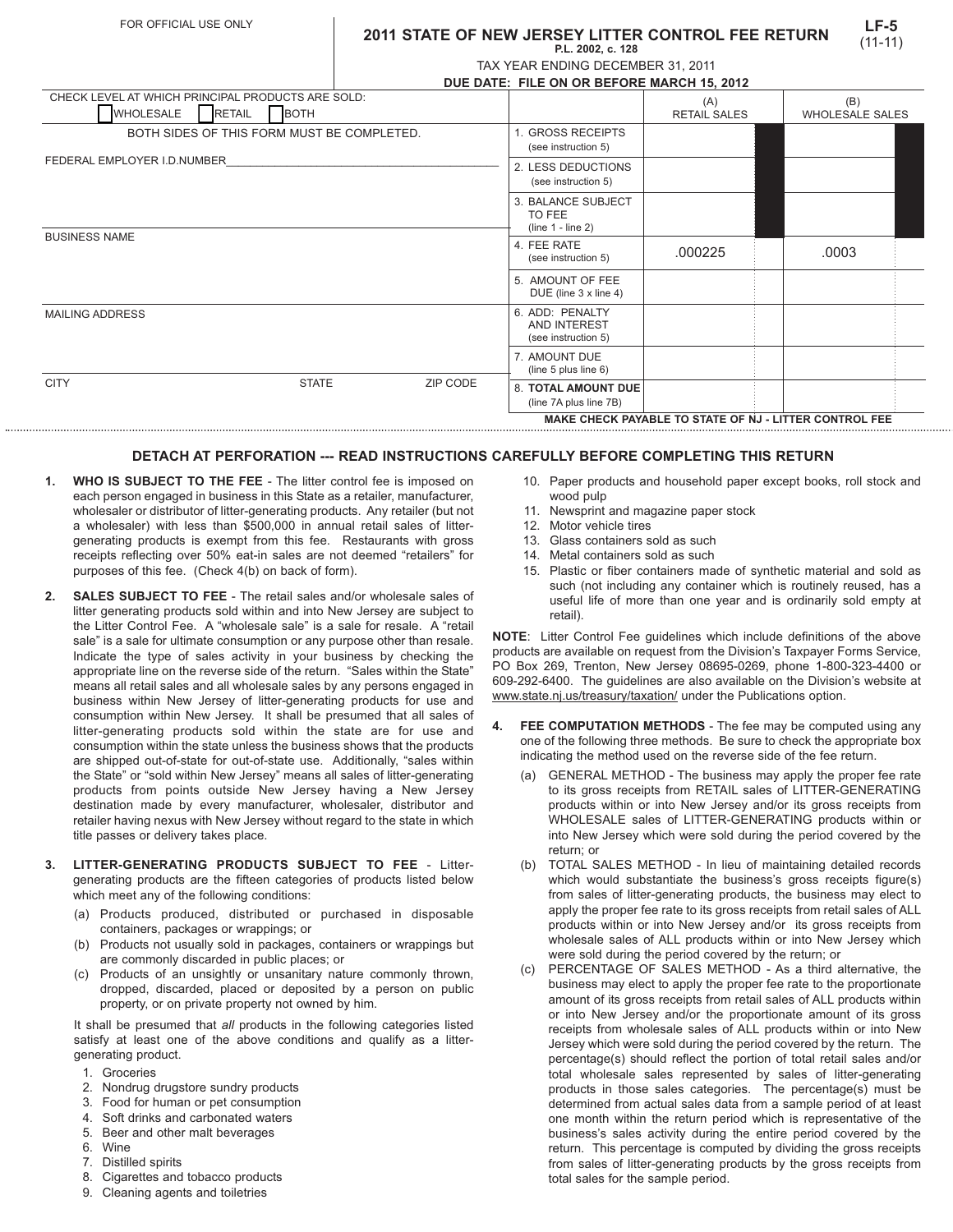## **2011 STATE OF NEW JERSEY LITTER CONTROL FEE RETURN P.L. 2002, c. 128**

| . .=. = = = =,   = .   .= =       |  |
|-----------------------------------|--|
| TAX YEAR ENDING DECEMBER 31, 2011 |  |

| DUE DATE: FILE ON OR BEFORE MARCH 15. 2012 |  |  |
|--------------------------------------------|--|--|

| CHECK LEVEL AT WHICH PRINCIPAL PRODUCTS ARE SOLD:<br><b>WHOLESALE</b><br><b>RETAIL</b> | <b>BOTH</b>                                |                                           |                                                        | (A)<br><b>RETAIL SALES</b>                             | (B)<br><b>WHOLESALE SALES</b> |
|----------------------------------------------------------------------------------------|--------------------------------------------|-------------------------------------------|--------------------------------------------------------|--------------------------------------------------------|-------------------------------|
|                                                                                        | BOTH SIDES OF THIS FORM MUST BE COMPLETED. |                                           | 1. GROSS RECEIPTS<br>(see instruction 5)               |                                                        |                               |
| FEDERAL EMPLOYER I.D.NUMBER                                                            |                                            | 2. LESS DEDUCTIONS<br>(see instruction 5) |                                                        |                                                        |                               |
|                                                                                        |                                            |                                           | 3. BALANCE SUBJECT<br>TO FEE<br>$(line 1 - line 2)$    |                                                        |                               |
| <b>BUSINESS NAME</b>                                                                   |                                            |                                           | 4. FEE RATE<br>(see instruction 5)                     | .000225                                                | .0003                         |
|                                                                                        |                                            |                                           | 5. AMOUNT OF FEE<br>DUE (line 3 x line 4)              |                                                        |                               |
| <b>MAILING ADDRESS</b>                                                                 |                                            |                                           | 6. ADD: PENALTY<br>AND INTEREST<br>(see instruction 5) |                                                        |                               |
|                                                                                        |                                            |                                           | 7. AMOUNT DUE<br>(line 5 plus line 6)                  |                                                        |                               |
| <b>CITY</b>                                                                            | <b>STATE</b>                               | ZIP CODE                                  | <b>8. TOTAL AMOUNT DUE</b><br>(line 7A plus line 7B)   |                                                        |                               |
|                                                                                        |                                            |                                           |                                                        | MAKE CHECK PAYABLE TO STATE OF NJ - LITTER CONTROL FEE |                               |

## **DETACH AT PERFORATION --- READ INSTRUCTIONS CAREFULLY BEFORE COMPLETING THIS RETURN**

- **1. WHO IS SUBJECT TO THE FEE** The litter control fee is imposed on each person engaged in business in this State as a retailer, manufacturer, wholesaler or distributor of litter-generating products. Any retailer (but not a wholesaler) with less than \$500,000 in annual retail sales of littergenerating products is exempt from this fee. Restaurants with gross receipts reflecting over 50% eat-in sales are not deemed "retailers" for purposes of this fee. (Check 4(b) on back of form).
- **2. SALES SUBJECT TO FEE**  The retail sales and/or wholesale sales of litter generating products sold within and into New Jersey are subject to the Litter Control Fee. A "wholesale sale" is a sale for resale. A "retail sale" is a sale for ultimate consumption or any purpose other than resale. Indicate the type of sales activity in your business by checking the appropriate line on the reverse side of the return. "Sales within the State" means all retail sales and all wholesale sales by any persons engaged in business within New Jersey of litter-generating products for use and consumption within New Jersey. It shall be presumed that all sales of litter-generating products sold within the state are for use and consumption within the state unless the business shows that the products are shipped out-of-state for out-of-state use. Additionally, "sales within the State" or "sold within New Jersey" means all sales of litter-generating products from points outside New Jersey having a New Jersey destination made by every manufacturer, wholesaler, distributor and retailer having nexus with New Jersey without regard to the state in which title passes or delivery takes place.
- **3. LITTER-GENERATING PRODUCTS SUBJECT TO FEE** Littergenerating products are the fifteen categories of products listed below which meet any of the following conditions:
	- (a) Products produced, distributed or purchased in disposable containers, packages or wrappings; or
	- (b) Products not usually sold in packages, containers or wrappings but are commonly discarded in public places; or
	- (c) Products of an unsightly or unsanitary nature commonly thrown, dropped, discarded, placed or deposited by a person on public property, or on private property not owned by him.

It shall be presumed that *all* products in the following categories listed satisfy at least one of the above conditions and qualify as a littergenerating product.

- 1. Groceries
- 2. Nondrug drugstore sundry products
- 3. Food for human or pet consumption
- 4. Soft drinks and carbonated waters
- 5. Beer and other malt beverages
- 6. Wine
- 7. Distilled spirits
- 8. Cigarettes and tobacco products
- 9. Cleaning agents and toiletries
- 10. Paper products and household paper except books, roll stock and wood pulp
- 11. Newsprint and magazine paper stock
- 12. Motor vehicle tires
- 13. Glass containers sold as such
- 14. Metal containers sold as such
- 15. Plastic or fiber containers made of synthetic material and sold as such (not including any container which is routinely reused, has a useful life of more than one year and is ordinarily sold empty at retail).

**NOTE**: Litter Control Fee guidelines which include definitions of the above products are available on request from the Division's Taxpayer Forms Service, PO Box 269, Trenton, New Jersey 08695-0269, phone 1-800-323-4400 or 609-292-6400. The guidelines are also available on the Division's website at www.state.nj.us/treasury/taxation/ under the Publications option.

- **4. FEE COMPUTATION METHODS** The fee may be computed using any one of the following three methods. Be sure to check the appropriate box indicating the method used on the reverse side of the fee return.
	- (a) GENERAL METHOD The business may apply the proper fee rate to its gross receipts from RETAIL sales of LITTER-GENERATING products within or into New Jersey and/or its gross receipts from WHOLESALE sales of LITTER-GENERATING products within or into New Jersey which were sold during the period covered by the return; or
	- (b) TOTAL SALES METHOD In lieu of maintaining detailed records which would substantiate the business's gross receipts figure(s) from sales of litter-generating products, the business may elect to apply the proper fee rate to its gross receipts from retail sales of ALL products within or into New Jersey and/or its gross receipts from wholesale sales of ALL products within or into New Jersey which were sold during the period covered by the return; or
	- (c) PERCENTAGE OF SALES METHOD As a third alternative, the business may elect to apply the proper fee rate to the proportionate amount of its gross receipts from retail sales of ALL products within or into New Jersey and/or the proportionate amount of its gross receipts from wholesale sales of ALL products within or into New Jersey which were sold during the period covered by the return. The percentage(s) should reflect the portion of total retail sales and/or total wholesale sales represented by sales of litter-generating products in those sales categories. The percentage(s) must be determined from actual sales data from a sample period of at least one month within the return period which is representative of the business's sales activity during the entire period covered by the return. This percentage is computed by dividing the gross receipts from sales of litter-generating products by the gross receipts from total sales for the sample period.

**LF-5** (11-11)